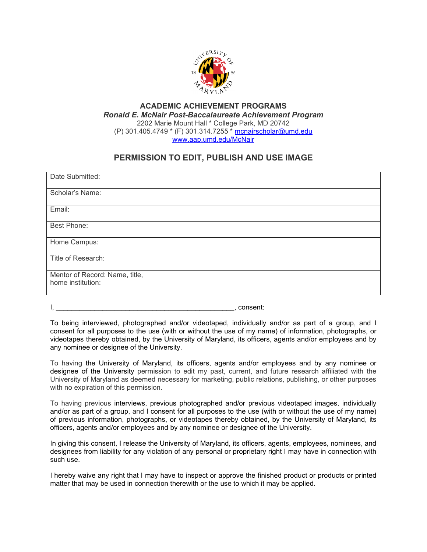

## **ACADEMIC ACHIEVEMENT PROGRAMS** *Ronald E. McNair Post-Baccalaureate Achievement Program* 2202 Marie Mount Hall \* College Park, MD 20742 (P) 301.405.4749 \* (F) 301.314.7255 \* [mcnairscholar@umd.edu](mailto:mcnairscholar@umd.edu) [www.aap.umd.edu/McNair](http://www.aap.umd.edu/McNair)

## **PERMISSION TO EDIT, PUBLISH AND USE IMAGE**

| Date Submitted:                                     |  |
|-----------------------------------------------------|--|
| Scholar's Name:                                     |  |
| Email:                                              |  |
| Best Phone:                                         |  |
| Home Campus:                                        |  |
| Title of Research:                                  |  |
| Mentor of Record: Name, title,<br>home institution: |  |

 $\frac{1}{\sqrt{1-\frac{1}{2}}}\cos\theta$ , consent:

To being interviewed, photographed and/or videotaped, individually and/or as part of a group, and I consent for all purposes to the use (with or without the use of my name) of information, photographs, or videotapes thereby obtained, by the University of Maryland, its officers, agents and/or employees and by any nominee or designee of the University.

To having the University of Maryland, its officers, agents and/or employees and by any nominee or designee of the University permission to edit my past, current, and future research affiliated with the University of Maryland as deemed necessary for marketing, public relations, publishing, or other purposes with no expiration of this permission.

To having previous interviews, previous photographed and/or previous videotaped images, individually and/or as part of a group, and I consent for all purposes to the use (with or without the use of my name) of previous information, photographs, or videotapes thereby obtained, by the University of Maryland, its officers, agents and/or employees and by any nominee or designee of the University.

In giving this consent, I release the University of Maryland, its officers, agents, employees, nominees, and designees from liability for any violation of any personal or proprietary right I may have in connection with such use.

I hereby waive any right that I may have to inspect or approve the finished product or products or printed matter that may be used in connection therewith or the use to which it may be applied.